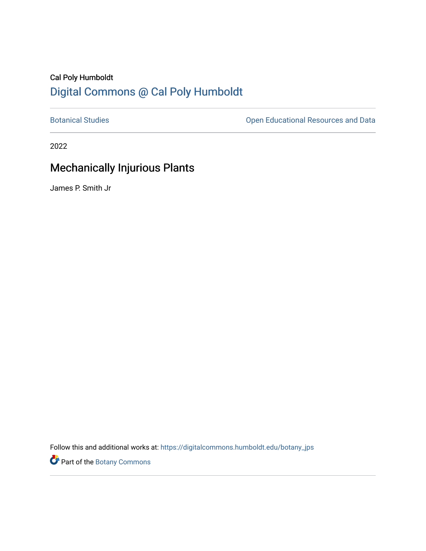## Cal Poly Humboldt [Digital Commons @ Cal Poly Humboldt](https://digitalcommons.humboldt.edu/)

[Botanical Studies](https://digitalcommons.humboldt.edu/botany_jps) **Botanical Studies Open Educational Resources and Data** 

2022

## Mechanically Injurious Plants

James P. Smith Jr

Follow this and additional works at: [https://digitalcommons.humboldt.edu/botany\\_jps](https://digitalcommons.humboldt.edu/botany_jps?utm_source=digitalcommons.humboldt.edu%2Fbotany_jps%2F108&utm_medium=PDF&utm_campaign=PDFCoverPages) 

Part of the [Botany Commons](http://network.bepress.com/hgg/discipline/104?utm_source=digitalcommons.humboldt.edu%2Fbotany_jps%2F108&utm_medium=PDF&utm_campaign=PDFCoverPages)